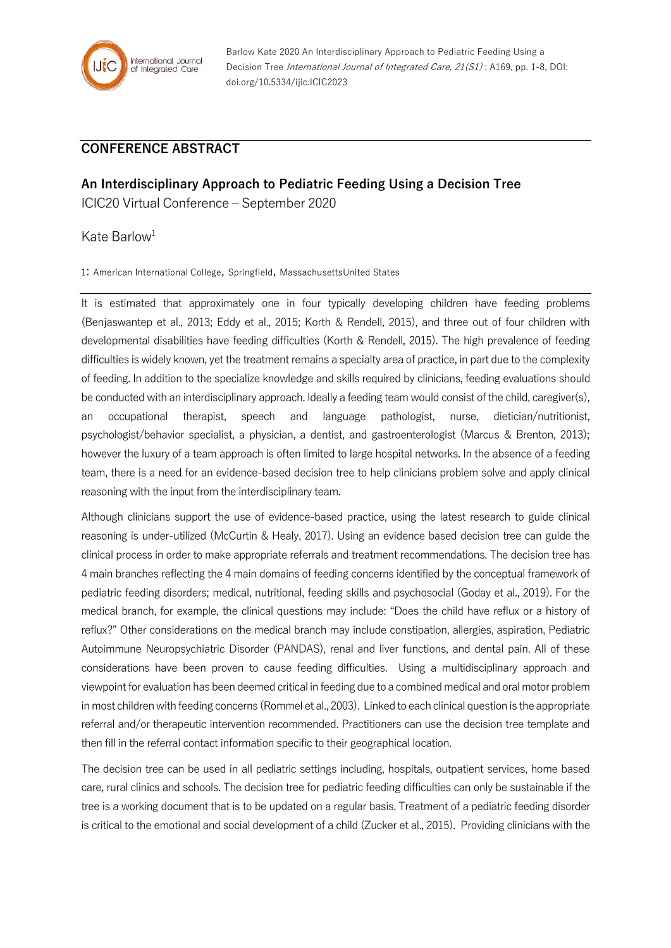

Barlow Kate 2020 An Interdisciplinary Approach to Pediatric Feeding Using a Decision Tree International Journal of Integrated Care, 21(S1): A169, pp. 1-8, DOI: doi.org/10.5334/ijic.ICIC2023

## **CONFERENCE ABSTRACT**

**An Interdisciplinary Approach to Pediatric Feeding Using a Decision Tree** ICIC20 Virtual Conference – September 2020

## Kate Barlow<sup>1</sup>

1: American International College, Springfield, MassachusettsUnited States

It is estimated that approximately one in four typically developing children have feeding problems (Benjaswantep et al., 2013; Eddy et al., 2015; Korth & Rendell, 2015), and three out of four children with developmental disabilities have feeding difficulties (Korth & Rendell, 2015). The high prevalence of feeding difficulties is widely known, yet the treatment remains a specialty area of practice, in part due to the complexity of feeding. In addition to the specialize knowledge and skills required by clinicians, feeding evaluations should be conducted with an interdisciplinary approach. Ideally a feeding team would consist of the child, caregiver(s), an occupational therapist, speech and language pathologist, nurse, dietician/nutritionist, psychologist/behavior specialist, a physician, a dentist, and gastroenterologist (Marcus & Brenton, 2013); however the luxury of a team approach is often limited to large hospital networks. In the absence of a feeding team, there is a need for an evidence-based decision tree to help clinicians problem solve and apply clinical reasoning with the input from the interdisciplinary team.

Although clinicians support the use of evidence-based practice, using the latest research to guide clinical reasoning is under-utilized (McCurtin & Healy, 2017). Using an evidence based decision tree can guide the clinical process in order to make appropriate referrals and treatment recommendations. The decision tree has 4 main branches reflecting the 4 main domains of feeding concerns identified by the conceptual framework of pediatric feeding disorders; medical, nutritional, feeding skills and psychosocial (Goday et al., 2019). For the medical branch, for example, the clinical questions may include: "Does the child have reflux or a history of reflux?" Other considerations on the medical branch may include constipation, allergies, aspiration, Pediatric Autoimmune Neuropsychiatric Disorder (PANDAS), renal and liver functions, and dental pain. All of these considerations have been proven to cause feeding difficulties. Using a multidisciplinary approach and viewpoint for evaluation has been deemed critical in feeding due to a combined medical and oral motor problem in most children with feeding concerns (Rommel et al., 2003). Linked to each clinicalquestion is the appropriate referral and/or therapeutic intervention recommended. Practitioners can use the decision tree template and then fill in the referral contact information specific to their geographical location.

The decision tree can be used in all pediatric settings including, hospitals, outpatient services, home based care, rural clinics and schools. The decision tree for pediatric feeding difficulties can only be sustainable if the tree is a working document that is to be updated on a regular basis. Treatment of a pediatric feeding disorder is critical to the emotional and social development of a child (Zucker et al., 2015). Providing clinicians with the